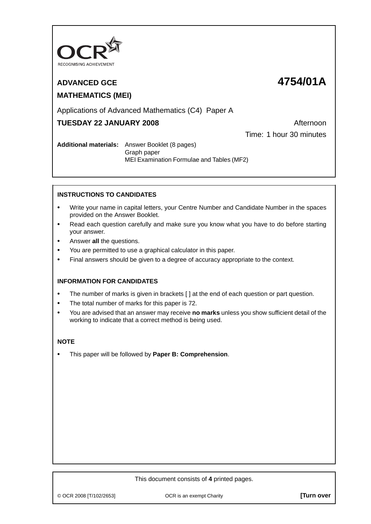

# **MATHEMATICS (MEI)**

## **ADVANCED GCE 4754/01A**

## Applications of Advanced Mathematics (C4) Paper A

### **TUESDAY 22 JANUARY 2008** Afternoon

Time: 1 hour 30 minutes

#### **Additional materials:** Answer Booklet (8 pages) Graph paper MEI Examination Formulae and Tables (MF2)

#### **INSTRUCTIONS TO CANDIDATES**

- **•** Write your name in capital letters, your Centre Number and Candidate Number in the spaces provided on the Answer Booklet.
- **•** Read each question carefully and make sure you know what you have to do before starting your answer.
- **•** Answer **all** the questions.
- **•** You are permitted to use a graphical calculator in this paper.
- **•** Final answers should be given to a degree of accuracy appropriate to the context.

#### **INFORMATION FOR CANDIDATES**

- The number of marks is given in brackets [ ] at the end of each question or part question.
- **•** The total number of marks for this paper is 72.
- **•** You are advised that an answer may receive **no marks** unless you show sufficient detail of the working to indicate that a correct method is being used.

#### **NOTE**

**•** This paper will be followed by **Paper B: Comprehension**.

#### This document consists of **4** printed pages.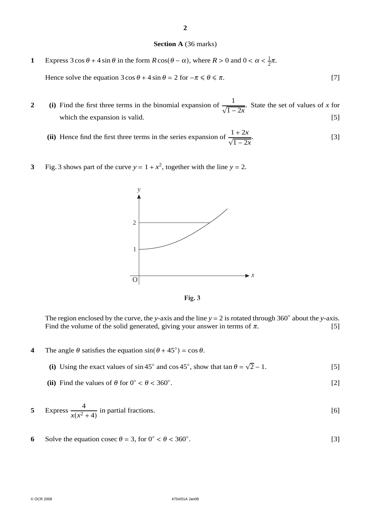#### **2**

#### **Section A** (36 marks)

- **1** Express  $3 \cos \theta + 4 \sin \theta$  in the form  $R \cos(\theta \alpha)$ , where  $R > 0$  and  $0 < \alpha < \frac{1}{2}\pi$ . Hence solve the equation  $3 \cos \theta + 4 \sin \theta = 2$  for  $-\pi \le \theta \le \pi$ . [7]
- **2** (i) Find the first three terms in the binomial expansion of  $\frac{1}{\sqrt{1-2x}}$ . State the set of values of *x* for which the expansion is valid. [5]
	- (ii) Hence find the first three terms in the series expansion of  $\frac{1+2x}{\sqrt{1-2x}}$ .  $[3]$
- **3** Fig. 3 shows part of the curve  $y = 1 + x^2$ , together with the line  $y = 2$ .



**Fig. 3**

The region enclosed by the curve, the *y*-axis and the line  $y = 2$  is rotated through 360° about the *y*-axis.<br>Find the volume of the solid generated, giving your answer in terms of  $\pi$ . [5] Find the volume of the solid generated, giving your answer in terms of  $\pi$ .

- **4** The angle  $\theta$  satisfies the equation  $\sin(\theta + 45^\circ) = \cos \theta$ .
	- (i) Using the exact values of  $\sin 45^\circ$  and  $\cos 45^\circ$ , show that  $\tan \theta = \sqrt{2} 1$ . [5]
	- (ii) Find the values of  $\theta$  for  $0^\circ < \theta < 360^\circ$ . .  $[2]$

5 Express 
$$
\frac{4}{x(x^2+4)}
$$
 in partial fractions. [6]

**6** Solve the equation cosec  $\theta = 3$ , for  $0^{\circ} < \theta < 360^{\circ}$ . .  $[3]$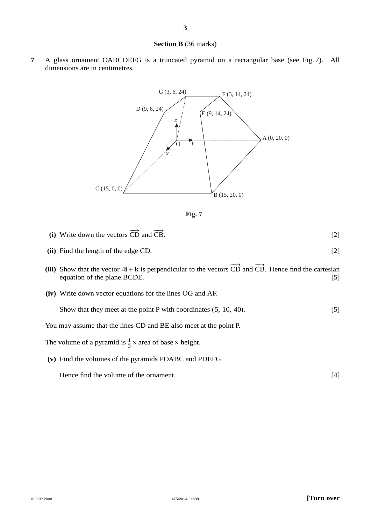#### **Section B** (36 marks)

**7** A glass ornament OABCDEFG is a truncated pyramid on a rectangular base (see Fig. 7). All dimensions are in centimetres.





- (i) Write down the vectors  $\overrightarrow{CD}$  and  $\overrightarrow{CB}$  $CB.$  [2]
- **(ii)** Find the length of the edge CD. [2]
- (iii) Show that the vector  $4\mathbf{i} + \mathbf{k}$  is perpendicular to the vectors  $\overrightarrow{CD}$  and  $\overrightarrow{CB}$ . Hence find the cartesian equation of the plane BCDE. [5]
- **(iv)** Write down vector equations for the lines OG and AF.

Show that they meet at the point P with coordinates  $(5, 10, 40)$ . [5]

You may assume that the lines CD and BE also meet at the point P.

The volume of a pyramid is  $\frac{1}{3} \times$  area of base  $\times$  height.

**(v)** Find the volumes of the pyramids POABC and PDEFG.

Hence find the volume of the ornament. [4]